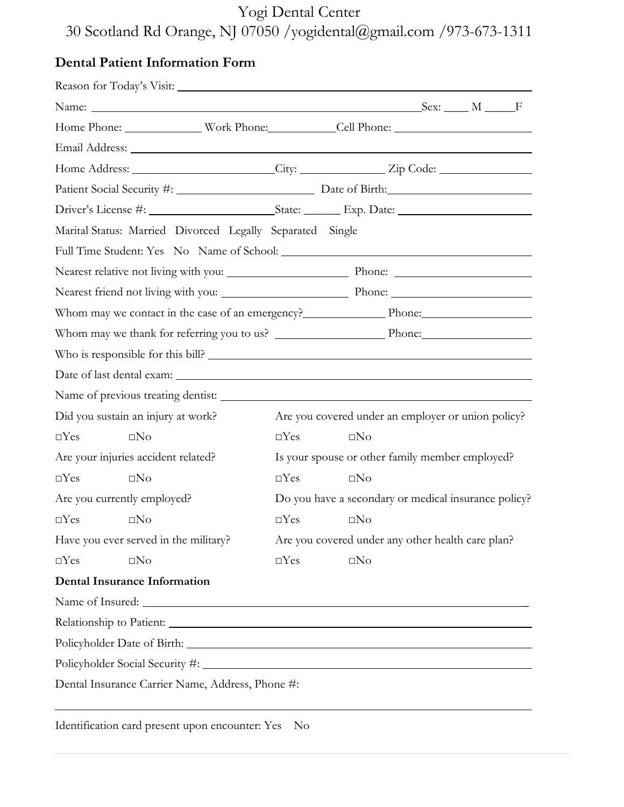# Yogi Dental Center 30 Scotland Rd Orange, NJ 07050 /yogidental@gmail.com /973-673-1311

## **Dental Patient Information Form**

|                                                                                     | Home Phone: Work Phone: Cell Phone: Cell Phone: |                                                    |              |  |  |  |  |  |
|-------------------------------------------------------------------------------------|-------------------------------------------------|----------------------------------------------------|--------------|--|--|--|--|--|
|                                                                                     |                                                 |                                                    |              |  |  |  |  |  |
|                                                                                     |                                                 |                                                    |              |  |  |  |  |  |
|                                                                                     |                                                 |                                                    |              |  |  |  |  |  |
|                                                                                     |                                                 |                                                    |              |  |  |  |  |  |
| Marital Status: Married Divorced Legally Separated Single                           |                                                 |                                                    |              |  |  |  |  |  |
|                                                                                     |                                                 |                                                    |              |  |  |  |  |  |
|                                                                                     |                                                 |                                                    |              |  |  |  |  |  |
| Nearest friend not living with you: Nearest friend not living with you:             |                                                 |                                                    |              |  |  |  |  |  |
|                                                                                     |                                                 |                                                    |              |  |  |  |  |  |
|                                                                                     |                                                 |                                                    |              |  |  |  |  |  |
| Who is responsible for this bill?                                                   |                                                 |                                                    |              |  |  |  |  |  |
|                                                                                     |                                                 |                                                    |              |  |  |  |  |  |
|                                                                                     | Name of previous treating dentist:              |                                                    |              |  |  |  |  |  |
|                                                                                     | Did you sustain an injury at work?              | Are you covered under an employer or union policy? |              |  |  |  |  |  |
| $\Box$ Yes                                                                          | $\square$ No                                    | $\Box$ Yes                                         | $\square$ No |  |  |  |  |  |
| Are your injuries accident related?                                                 |                                                 | Is your spouse or other family member employed?    |              |  |  |  |  |  |
| $\Box$ Yes                                                                          | $\square$ No                                    | $\Box$ Yes                                         | $\square$ No |  |  |  |  |  |
| Are you currently employed?<br>Do you have a secondary or medical insurance policy? |                                                 |                                                    |              |  |  |  |  |  |
| $\square$ Yes $\square$ No                                                          |                                                 | $\Box$ Yes                                         | $\square$ No |  |  |  |  |  |
|                                                                                     | Have you ever served in the military?           | Are you covered under any other health care plan?  |              |  |  |  |  |  |
| $\Box$ Yes                                                                          | $\square$ No                                    | $\Box$ Yes                                         | $\square No$ |  |  |  |  |  |
|                                                                                     | <b>Dental Insurance Information</b>             |                                                    |              |  |  |  |  |  |
|                                                                                     |                                                 |                                                    |              |  |  |  |  |  |
|                                                                                     |                                                 |                                                    |              |  |  |  |  |  |
| Policyholder Date of Birth: North Contract of Birth:                                |                                                 |                                                    |              |  |  |  |  |  |
|                                                                                     |                                                 |                                                    |              |  |  |  |  |  |
| Dental Insurance Carrier Name, Address, Phone #:                                    |                                                 |                                                    |              |  |  |  |  |  |
|                                                                                     |                                                 |                                                    |              |  |  |  |  |  |

Identification card present upon encounter: Yes No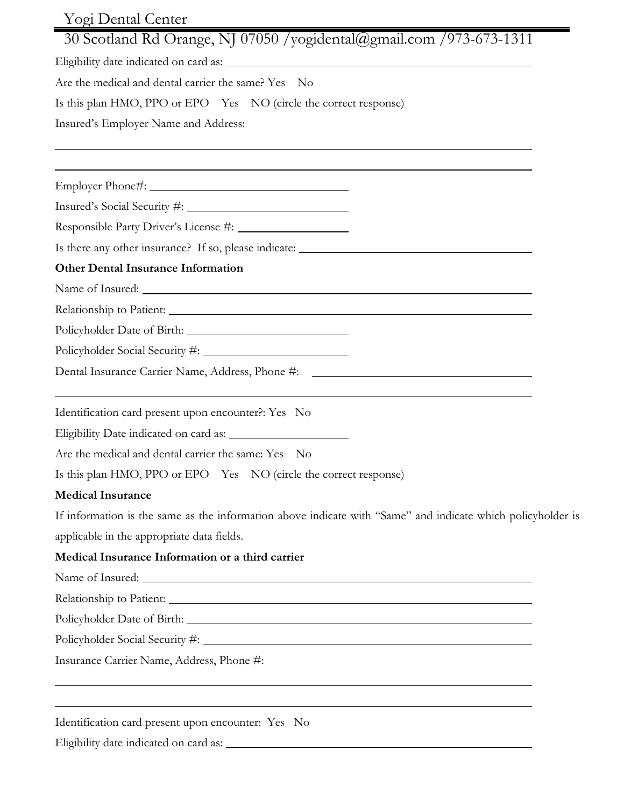| Yogi Dental Center                                                                                                       |  |  |  |  |  |  |  |
|--------------------------------------------------------------------------------------------------------------------------|--|--|--|--|--|--|--|
| 30 Scotland Rd Orange, NJ 07050 /yogidental@gmail.com /973-673-1311                                                      |  |  |  |  |  |  |  |
|                                                                                                                          |  |  |  |  |  |  |  |
| Are the medical and dental carrier the same? Yes No<br>Is this plan HMO, PPO or EPO Yes NO (circle the correct response) |  |  |  |  |  |  |  |
|                                                                                                                          |  |  |  |  |  |  |  |
|                                                                                                                          |  |  |  |  |  |  |  |
|                                                                                                                          |  |  |  |  |  |  |  |
|                                                                                                                          |  |  |  |  |  |  |  |
|                                                                                                                          |  |  |  |  |  |  |  |
| Is there any other insurance? If so, please indicate: ___________________________                                        |  |  |  |  |  |  |  |
| <b>Other Dental Insurance Information</b>                                                                                |  |  |  |  |  |  |  |
|                                                                                                                          |  |  |  |  |  |  |  |
|                                                                                                                          |  |  |  |  |  |  |  |
|                                                                                                                          |  |  |  |  |  |  |  |
|                                                                                                                          |  |  |  |  |  |  |  |
| Dental Insurance Carrier Name, Address, Phone #: ________________________________                                        |  |  |  |  |  |  |  |
| Identification card present upon encounter?: Yes No                                                                      |  |  |  |  |  |  |  |
|                                                                                                                          |  |  |  |  |  |  |  |
| Are the medical and dental carrier the same: Yes No                                                                      |  |  |  |  |  |  |  |
| Is this plan HMO, PPO or EPO Yes NO (circle the correct response)                                                        |  |  |  |  |  |  |  |
| <b>Medical Insurance</b>                                                                                                 |  |  |  |  |  |  |  |
| If information is the same as the information above indicate with "Same" and indicate which policyholder is              |  |  |  |  |  |  |  |
| applicable in the appropriate data fields.                                                                               |  |  |  |  |  |  |  |
| Medical Insurance Information or a third carrier                                                                         |  |  |  |  |  |  |  |
|                                                                                                                          |  |  |  |  |  |  |  |
|                                                                                                                          |  |  |  |  |  |  |  |
|                                                                                                                          |  |  |  |  |  |  |  |
|                                                                                                                          |  |  |  |  |  |  |  |
| Insurance Carrier Name, Address, Phone #:                                                                                |  |  |  |  |  |  |  |
| ,我们也不会有什么。""我们的人,我们也不会有什么?""我们的人,我们也不会有什么?""我们的人,我们也不会有什么?""我们的人,我们也不会有什么?""我们的人                                         |  |  |  |  |  |  |  |
| Identification card present upon encounter: Yes No                                                                       |  |  |  |  |  |  |  |

Eligibility date indicated on card as: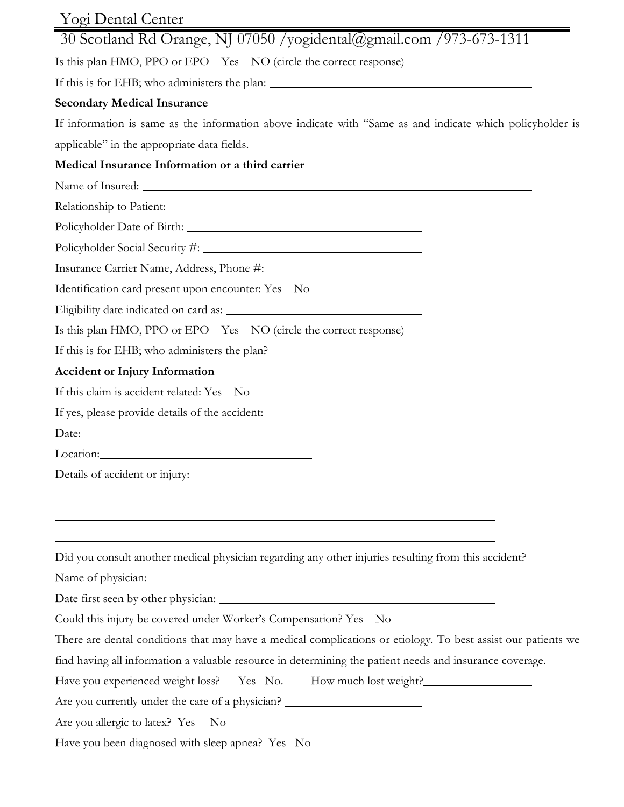| Yogi Dental Center                                                                                                                                                                                                                   |  |  |  |  |  |
|--------------------------------------------------------------------------------------------------------------------------------------------------------------------------------------------------------------------------------------|--|--|--|--|--|
| 30 Scotland Rd Orange, NJ 07050 /yogidental@gmail.com /973-673-1311                                                                                                                                                                  |  |  |  |  |  |
| Is this plan HMO, PPO or EPO Yes NO (circle the correct response)                                                                                                                                                                    |  |  |  |  |  |
|                                                                                                                                                                                                                                      |  |  |  |  |  |
| <b>Secondary Medical Insurance</b>                                                                                                                                                                                                   |  |  |  |  |  |
| If information is same as the information above indicate with "Same as and indicate which policyholder is                                                                                                                            |  |  |  |  |  |
| applicable" in the appropriate data fields.                                                                                                                                                                                          |  |  |  |  |  |
| Medical Insurance Information or a third carrier                                                                                                                                                                                     |  |  |  |  |  |
|                                                                                                                                                                                                                                      |  |  |  |  |  |
|                                                                                                                                                                                                                                      |  |  |  |  |  |
|                                                                                                                                                                                                                                      |  |  |  |  |  |
|                                                                                                                                                                                                                                      |  |  |  |  |  |
|                                                                                                                                                                                                                                      |  |  |  |  |  |
| Identification card present upon encounter: Yes No                                                                                                                                                                                   |  |  |  |  |  |
|                                                                                                                                                                                                                                      |  |  |  |  |  |
| Is this plan HMO, PPO or EPO Yes NO (circle the correct response)                                                                                                                                                                    |  |  |  |  |  |
| If this is for EHB; who administers the plan?                                                                                                                                                                                        |  |  |  |  |  |
| <b>Accident or Injury Information</b>                                                                                                                                                                                                |  |  |  |  |  |
| If this claim is accident related: Yes No                                                                                                                                                                                            |  |  |  |  |  |
| If yes, please provide details of the accident:                                                                                                                                                                                      |  |  |  |  |  |
| Date: <u>Date: Sales Barbara and Barbara and Barbara and Barbara and Barbara and Barbara and Barbara and Barbara and Barbara and Barbara and Barbara and Barbara and Barbara and Barbara and Barbara and Barbara and Barbara and</u> |  |  |  |  |  |
| Location:                                                                                                                                                                                                                            |  |  |  |  |  |
| Details of accident or injury:                                                                                                                                                                                                       |  |  |  |  |  |
|                                                                                                                                                                                                                                      |  |  |  |  |  |
|                                                                                                                                                                                                                                      |  |  |  |  |  |
|                                                                                                                                                                                                                                      |  |  |  |  |  |
| Did you consult another medical physician regarding any other injuries resulting from this accident?                                                                                                                                 |  |  |  |  |  |
|                                                                                                                                                                                                                                      |  |  |  |  |  |
|                                                                                                                                                                                                                                      |  |  |  |  |  |
| Could this injury be covered under Worker's Compensation? Yes No                                                                                                                                                                     |  |  |  |  |  |
| There are dental conditions that may have a medical complications or etiology. To best assist our patients we                                                                                                                        |  |  |  |  |  |
| find having all information a valuable resource in determining the patient needs and insurance coverage.                                                                                                                             |  |  |  |  |  |
| Have you experienced weight loss? Yes No. How much lost weight?                                                                                                                                                                      |  |  |  |  |  |
| Are you currently under the care of a physician? ________________________________                                                                                                                                                    |  |  |  |  |  |
| Are you allergic to latex? Yes<br>N <sub>o</sub>                                                                                                                                                                                     |  |  |  |  |  |
| Have you been diagnosed with sleep apnea? Yes No                                                                                                                                                                                     |  |  |  |  |  |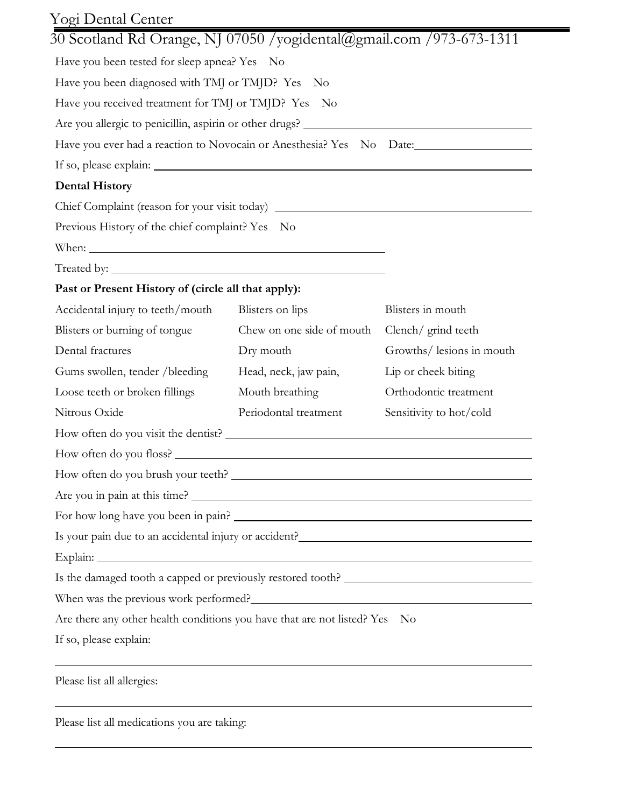| Yogi Dental Center                                                                |                           |                           |  |  |  |  |  |
|-----------------------------------------------------------------------------------|---------------------------|---------------------------|--|--|--|--|--|
| 30 Scotland Rd Orange, NJ 07050 /yogidental@gmail.com /973-673-1311               |                           |                           |  |  |  |  |  |
| Have you been tested for sleep apnea? Yes No                                      |                           |                           |  |  |  |  |  |
| Have you been diagnosed with TMJ or TMJD? Yes No                                  |                           |                           |  |  |  |  |  |
| Have you received treatment for TMJ or TMJD? Yes No                               |                           |                           |  |  |  |  |  |
|                                                                                   |                           |                           |  |  |  |  |  |
|                                                                                   |                           |                           |  |  |  |  |  |
|                                                                                   |                           |                           |  |  |  |  |  |
| <b>Dental History</b>                                                             |                           |                           |  |  |  |  |  |
| Chief Complaint (reason for your visit today) ___________________________________ |                           |                           |  |  |  |  |  |
| Previous History of the chief complaint? Yes No                                   |                           |                           |  |  |  |  |  |
|                                                                                   |                           |                           |  |  |  |  |  |
|                                                                                   |                           |                           |  |  |  |  |  |
| Past or Present History of (circle all that apply):                               |                           |                           |  |  |  |  |  |
| Accidental injury to teeth/mouth                                                  | Blisters on lips          | Blisters in mouth         |  |  |  |  |  |
| Blisters or burning of tongue                                                     | Chew on one side of mouth | Clench/ grind teeth       |  |  |  |  |  |
| Dental fractures                                                                  | Dry mouth                 | Growths/ lesions in mouth |  |  |  |  |  |
| Gums swollen, tender / bleeding                                                   | Head, neck, jaw pain,     | Lip or cheek biting       |  |  |  |  |  |
| Loose teeth or broken fillings                                                    | Mouth breathing           | Orthodontic treatment     |  |  |  |  |  |
| Nitrous Oxide                                                                     | Periodontal treatment     | Sensitivity to hot/cold   |  |  |  |  |  |
|                                                                                   |                           |                           |  |  |  |  |  |
| How often do you floss?                                                           |                           |                           |  |  |  |  |  |
|                                                                                   |                           |                           |  |  |  |  |  |
|                                                                                   |                           |                           |  |  |  |  |  |
|                                                                                   |                           |                           |  |  |  |  |  |
| Is your pain due to an accidental injury or accident? ___________________________ |                           |                           |  |  |  |  |  |
|                                                                                   |                           |                           |  |  |  |  |  |
|                                                                                   |                           |                           |  |  |  |  |  |
|                                                                                   |                           |                           |  |  |  |  |  |
| Are there any other health conditions you have that are not listed? Yes No        |                           |                           |  |  |  |  |  |
| If so, please explain:                                                            |                           |                           |  |  |  |  |  |
|                                                                                   |                           |                           |  |  |  |  |  |
| Please list all allergies:                                                        |                           |                           |  |  |  |  |  |

Please list all medications you are taking: